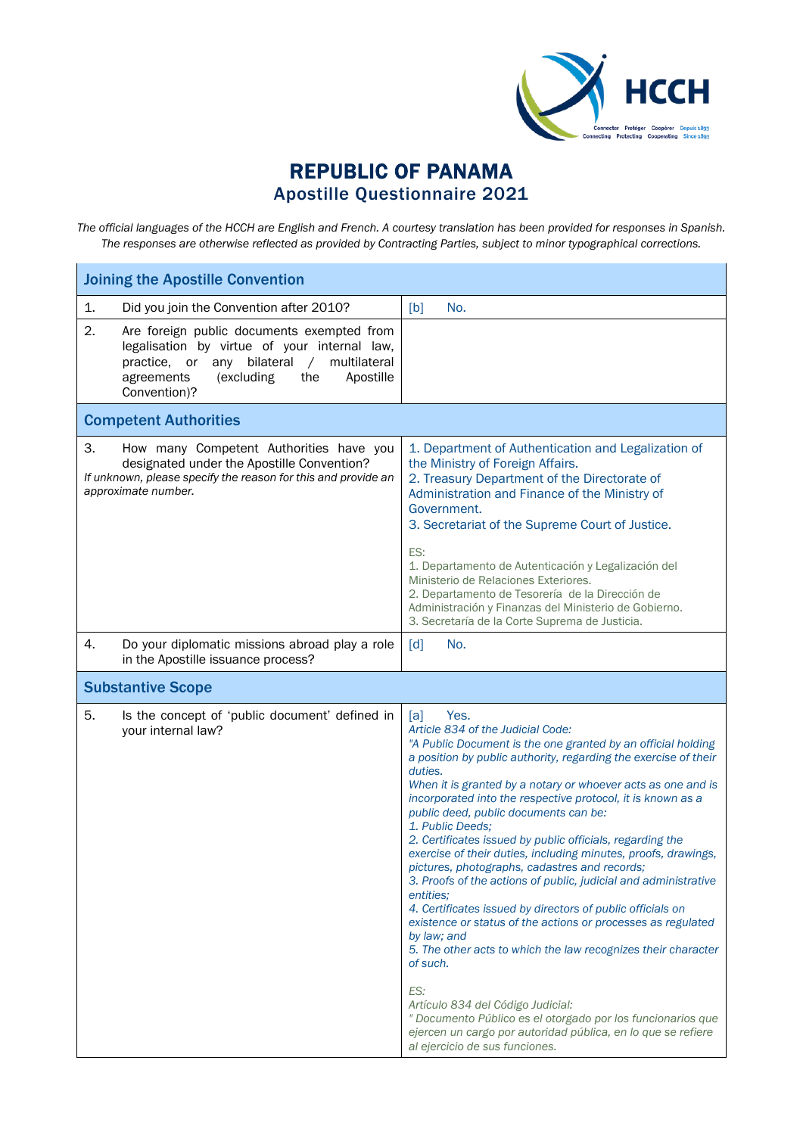

## REPUBLIC OF PANAMA Apostille Questionnaire 2021

*The official languages of the HCCH are English and French. A courtesy translation has been provided for responses in Spanish. The responses are otherwise reflected as provided by Contracting Parties, subject to minor typographical corrections.*

| <b>Joining the Apostille Convention</b>                                                                                                                                                                                            |                                                                                                                                                                                                                                                                                                                                                                                                                                                                                                                                                                                                                                                                                                                                                                                                                                                                                                                                                                                                                                                                                                   |  |  |
|------------------------------------------------------------------------------------------------------------------------------------------------------------------------------------------------------------------------------------|---------------------------------------------------------------------------------------------------------------------------------------------------------------------------------------------------------------------------------------------------------------------------------------------------------------------------------------------------------------------------------------------------------------------------------------------------------------------------------------------------------------------------------------------------------------------------------------------------------------------------------------------------------------------------------------------------------------------------------------------------------------------------------------------------------------------------------------------------------------------------------------------------------------------------------------------------------------------------------------------------------------------------------------------------------------------------------------------------|--|--|
| 1.<br>Did you join the Convention after 2010?                                                                                                                                                                                      | No.<br>[b]                                                                                                                                                                                                                                                                                                                                                                                                                                                                                                                                                                                                                                                                                                                                                                                                                                                                                                                                                                                                                                                                                        |  |  |
| 2.<br>Are foreign public documents exempted from<br>legalisation by virtue of your internal law,<br>bilateral<br>multilateral<br>practice, or<br>any<br>$\sqrt{2}$<br>agreements<br>(excluding<br>the<br>Apostille<br>Convention)? |                                                                                                                                                                                                                                                                                                                                                                                                                                                                                                                                                                                                                                                                                                                                                                                                                                                                                                                                                                                                                                                                                                   |  |  |
| <b>Competent Authorities</b>                                                                                                                                                                                                       |                                                                                                                                                                                                                                                                                                                                                                                                                                                                                                                                                                                                                                                                                                                                                                                                                                                                                                                                                                                                                                                                                                   |  |  |
| 3.<br>How many Competent Authorities have you<br>designated under the Apostille Convention?<br>If unknown, please specify the reason for this and provide an<br>approximate number.                                                | 1. Department of Authentication and Legalization of<br>the Ministry of Foreign Affairs.<br>2. Treasury Department of the Directorate of<br>Administration and Finance of the Ministry of<br>Government.<br>3. Secretariat of the Supreme Court of Justice.<br>ES:<br>1. Departamento de Autenticación y Legalización del<br>Ministerio de Relaciones Exteriores.<br>2. Departamento de Tesorería de la Dirección de<br>Administración y Finanzas del Ministerio de Gobierno.<br>3. Secretaría de la Corte Suprema de Justicia.                                                                                                                                                                                                                                                                                                                                                                                                                                                                                                                                                                    |  |  |
| 4.<br>Do your diplomatic missions abroad play a role<br>in the Apostille issuance process?                                                                                                                                         | No.<br>[d]                                                                                                                                                                                                                                                                                                                                                                                                                                                                                                                                                                                                                                                                                                                                                                                                                                                                                                                                                                                                                                                                                        |  |  |
| <b>Substantive Scope</b>                                                                                                                                                                                                           |                                                                                                                                                                                                                                                                                                                                                                                                                                                                                                                                                                                                                                                                                                                                                                                                                                                                                                                                                                                                                                                                                                   |  |  |
| 5.<br>Is the concept of 'public document' defined in<br>your internal law?                                                                                                                                                         | Yes.<br>[a]<br>Article 834 of the Judicial Code:<br>"A Public Document is the one granted by an official holding<br>a position by public authority, regarding the exercise of their<br>duties.<br>When it is granted by a notary or whoever acts as one and is<br>incorporated into the respective protocol, it is known as a<br>public deed, public documents can be:<br>1. Public Deeds;<br>2. Certificates issued by public officials, regarding the<br>exercise of their duties, including minutes, proofs, drawings,<br>pictures, photographs, cadastres and records;<br>3. Proofs of the actions of public, judicial and administrative<br>entities:<br>4. Certificates issued by directors of public officials on<br>existence or status of the actions or processes as regulated<br>by law; and<br>5. The other acts to which the law recognizes their character<br>of such.<br>ES:<br>Artículo 834 del Código Judicial:<br>" Documento Público es el otorgado por los funcionarios que<br>ejercen un cargo por autoridad pública, en lo que se refiere<br>al ejercicio de sus funciones. |  |  |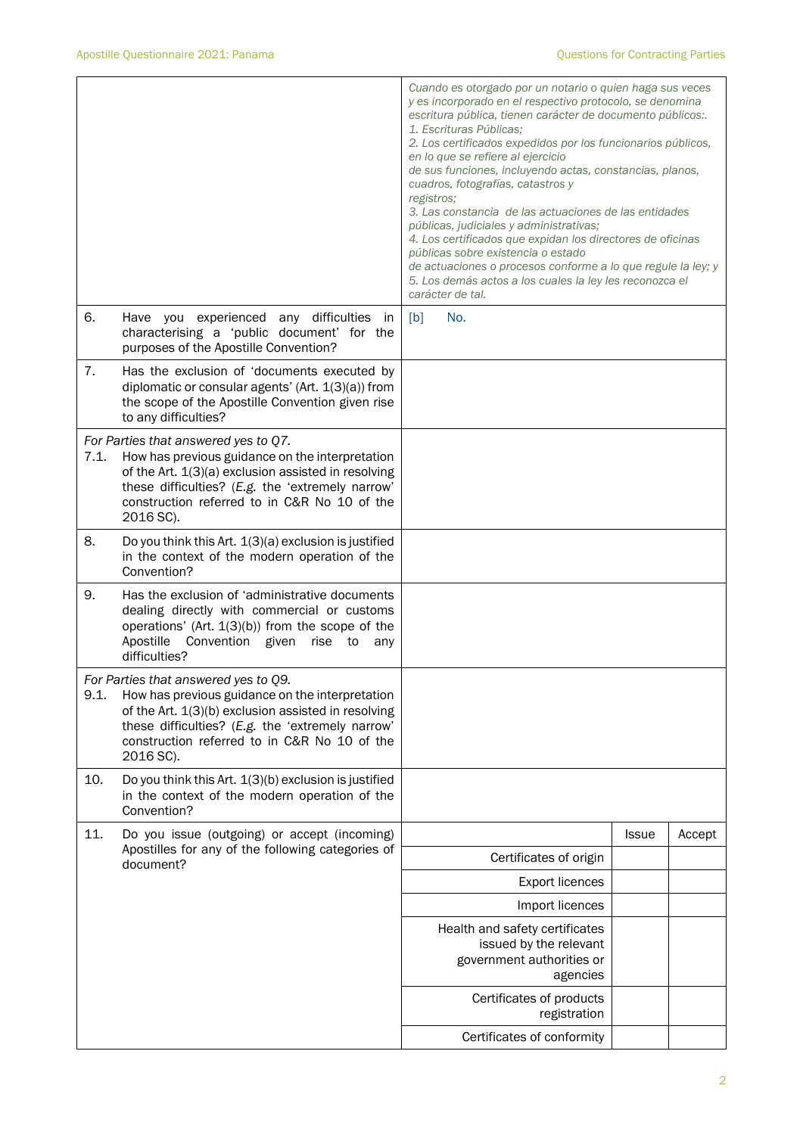|      |                                                                                                                                                                                                                                                                 | Cuando es otorgado por un notario o quien haga sus veces<br>y es incorporado en el respectivo protocolo, se denomina<br>escritura pública, tienen carácter de documento públicos:.<br>1. Escrituras Públicas;<br>2. Los certificados expedidos por los funcionarios públicos,<br>en lo que se refiere al ejercicio<br>de sus funciones, incluyendo actas, constancias, planos,<br>cuadros, fotografías, catastros y<br>registros;<br>3. Las constancia de las actuaciones de las entidades<br>públicas, judiciales y administrativas;<br>4. Los certificados que expidan los directores de oficinas<br>públicas sobre existencia o estado<br>de actuaciones o procesos conforme a lo que regule la ley; y<br>5. Los demás actos a los cuales la ley les reconozca el<br>carácter de tal. |              |        |
|------|-----------------------------------------------------------------------------------------------------------------------------------------------------------------------------------------------------------------------------------------------------------------|------------------------------------------------------------------------------------------------------------------------------------------------------------------------------------------------------------------------------------------------------------------------------------------------------------------------------------------------------------------------------------------------------------------------------------------------------------------------------------------------------------------------------------------------------------------------------------------------------------------------------------------------------------------------------------------------------------------------------------------------------------------------------------------|--------------|--------|
| 6.   | Have you experienced any difficulties<br>in<br>characterising a 'public document' for the<br>purposes of the Apostille Convention?                                                                                                                              | No.<br>[b]                                                                                                                                                                                                                                                                                                                                                                                                                                                                                                                                                                                                                                                                                                                                                                               |              |        |
| 7.   | Has the exclusion of 'documents executed by<br>diplomatic or consular agents' (Art. $1(3)(a)$ ) from<br>the scope of the Apostille Convention given rise<br>to any difficulties?                                                                                |                                                                                                                                                                                                                                                                                                                                                                                                                                                                                                                                                                                                                                                                                                                                                                                          |              |        |
| 7.1. | For Parties that answered yes to Q7.<br>How has previous guidance on the interpretation<br>of the Art. 1(3)(a) exclusion assisted in resolving<br>these difficulties? (E.g. the 'extremely narrow'<br>construction referred to in C&R No 10 of the<br>2016 SC). |                                                                                                                                                                                                                                                                                                                                                                                                                                                                                                                                                                                                                                                                                                                                                                                          |              |        |
| 8.   | Do you think this Art. 1(3)(a) exclusion is justified<br>in the context of the modern operation of the<br>Convention?                                                                                                                                           |                                                                                                                                                                                                                                                                                                                                                                                                                                                                                                                                                                                                                                                                                                                                                                                          |              |        |
| 9.   | Has the exclusion of 'administrative documents<br>dealing directly with commercial or customs<br>operations' (Art. $1(3)(b)$ ) from the scope of the<br>Apostille<br>Convention given<br>rise<br>to<br>any<br>difficulties?                                     |                                                                                                                                                                                                                                                                                                                                                                                                                                                                                                                                                                                                                                                                                                                                                                                          |              |        |
| 9.1. | For Parties that answered yes to Q9.<br>How has previous guidance on the interpretation<br>of the Art. 1(3)(b) exclusion assisted in resolving<br>these difficulties? (E.g. the 'extremely narrow'<br>construction referred to in C&R No 10 of the<br>2016 SC). |                                                                                                                                                                                                                                                                                                                                                                                                                                                                                                                                                                                                                                                                                                                                                                                          |              |        |
| 10.  | Do you think this Art. 1(3)(b) exclusion is justified<br>in the context of the modern operation of the<br>Convention?                                                                                                                                           |                                                                                                                                                                                                                                                                                                                                                                                                                                                                                                                                                                                                                                                                                                                                                                                          |              |        |
| 11.  | Do you issue (outgoing) or accept (incoming)                                                                                                                                                                                                                    |                                                                                                                                                                                                                                                                                                                                                                                                                                                                                                                                                                                                                                                                                                                                                                                          | <b>Issue</b> | Accept |
|      | Apostilles for any of the following categories of<br>document?                                                                                                                                                                                                  | Certificates of origin                                                                                                                                                                                                                                                                                                                                                                                                                                                                                                                                                                                                                                                                                                                                                                   |              |        |
|      |                                                                                                                                                                                                                                                                 | <b>Export licences</b>                                                                                                                                                                                                                                                                                                                                                                                                                                                                                                                                                                                                                                                                                                                                                                   |              |        |
|      |                                                                                                                                                                                                                                                                 | Import licences                                                                                                                                                                                                                                                                                                                                                                                                                                                                                                                                                                                                                                                                                                                                                                          |              |        |
|      |                                                                                                                                                                                                                                                                 | Health and safety certificates<br>issued by the relevant<br>government authorities or<br>agencies                                                                                                                                                                                                                                                                                                                                                                                                                                                                                                                                                                                                                                                                                        |              |        |
|      |                                                                                                                                                                                                                                                                 | Certificates of products<br>registration                                                                                                                                                                                                                                                                                                                                                                                                                                                                                                                                                                                                                                                                                                                                                 |              |        |
|      |                                                                                                                                                                                                                                                                 | Certificates of conformity                                                                                                                                                                                                                                                                                                                                                                                                                                                                                                                                                                                                                                                                                                                                                               |              |        |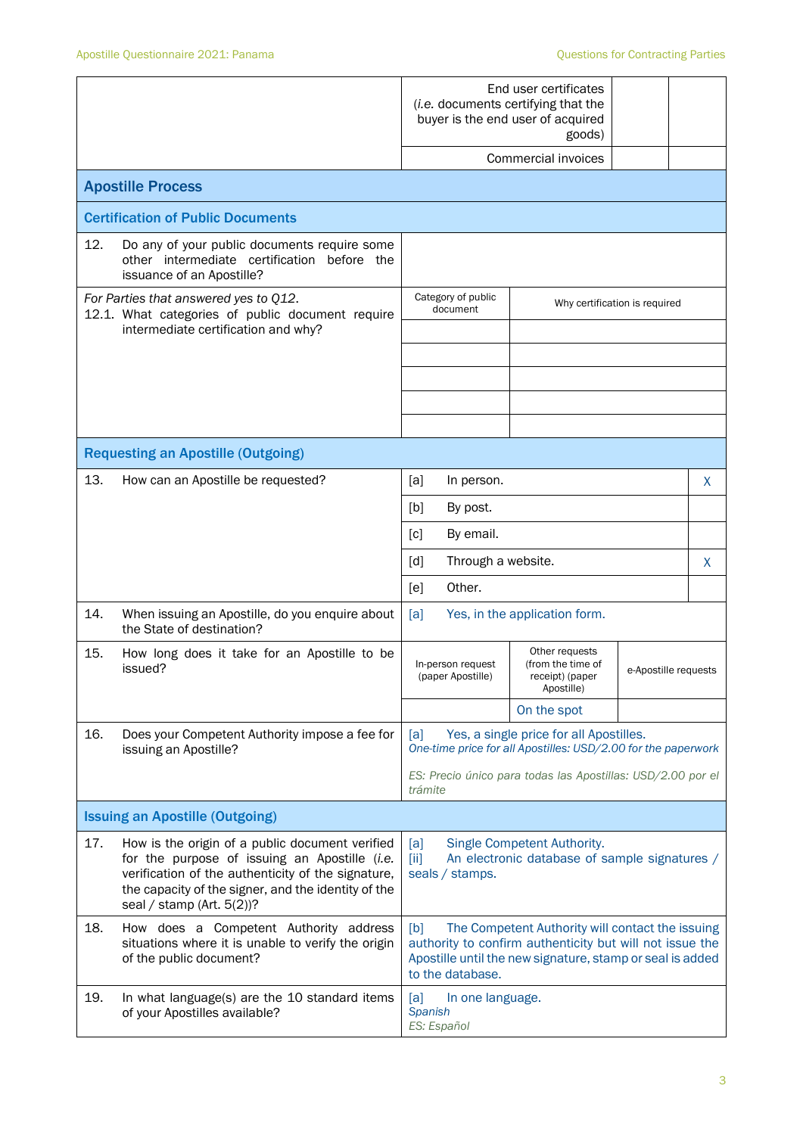|                                                                                                                                  |                                                                                                                                                                                                                                               | End user certificates<br>( <i>i.e.</i> documents certifying that the<br>buyer is the end user of acquired<br>goods)<br>Commercial invoices                                                           |                                                             |                               |   |
|----------------------------------------------------------------------------------------------------------------------------------|-----------------------------------------------------------------------------------------------------------------------------------------------------------------------------------------------------------------------------------------------|------------------------------------------------------------------------------------------------------------------------------------------------------------------------------------------------------|-------------------------------------------------------------|-------------------------------|---|
|                                                                                                                                  | <b>Apostille Process</b>                                                                                                                                                                                                                      |                                                                                                                                                                                                      |                                                             |                               |   |
|                                                                                                                                  | <b>Certification of Public Documents</b>                                                                                                                                                                                                      |                                                                                                                                                                                                      |                                                             |                               |   |
| 12.                                                                                                                              | Do any of your public documents require some<br>other intermediate certification before the<br>issuance of an Apostille?                                                                                                                      |                                                                                                                                                                                                      |                                                             |                               |   |
| For Parties that answered yes to Q12.<br>12.1. What categories of public document require<br>intermediate certification and why? |                                                                                                                                                                                                                                               | Category of public<br>document                                                                                                                                                                       |                                                             | Why certification is required |   |
|                                                                                                                                  |                                                                                                                                                                                                                                               |                                                                                                                                                                                                      |                                                             |                               |   |
|                                                                                                                                  |                                                                                                                                                                                                                                               |                                                                                                                                                                                                      |                                                             |                               |   |
|                                                                                                                                  |                                                                                                                                                                                                                                               |                                                                                                                                                                                                      |                                                             |                               |   |
|                                                                                                                                  | <b>Requesting an Apostille (Outgoing)</b>                                                                                                                                                                                                     |                                                                                                                                                                                                      |                                                             |                               |   |
| 13.                                                                                                                              | How can an Apostille be requested?                                                                                                                                                                                                            | [a]<br>In person.                                                                                                                                                                                    |                                                             |                               | X |
|                                                                                                                                  |                                                                                                                                                                                                                                               | [b]<br>By post.                                                                                                                                                                                      |                                                             |                               |   |
|                                                                                                                                  |                                                                                                                                                                                                                                               | By email.<br>[c]                                                                                                                                                                                     |                                                             |                               |   |
|                                                                                                                                  |                                                                                                                                                                                                                                               | Through a website.<br>$\lceil d \rceil$                                                                                                                                                              |                                                             |                               | X |
|                                                                                                                                  |                                                                                                                                                                                                                                               | Other.<br>[e]                                                                                                                                                                                        |                                                             |                               |   |
| 14.                                                                                                                              | When issuing an Apostille, do you enquire about<br>the State of destination?                                                                                                                                                                  | [a]<br>Yes, in the application form.                                                                                                                                                                 |                                                             |                               |   |
| 15.                                                                                                                              | How long does it take for an Apostille to be<br>issued?                                                                                                                                                                                       | Other requests<br>(from the time of<br>In-person request<br>(paper Apostille)<br>receipt) (paper<br>Apostille)                                                                                       |                                                             | e-Apostille requests          |   |
|                                                                                                                                  |                                                                                                                                                                                                                                               |                                                                                                                                                                                                      | On the spot                                                 |                               |   |
| 16.                                                                                                                              | Does your Competent Authority impose a fee for<br>issuing an Apostille?                                                                                                                                                                       | Yes, a single price for all Apostilles.<br>[a]<br>One-time price for all Apostilles: USD/2.00 for the paperwork                                                                                      |                                                             |                               |   |
|                                                                                                                                  |                                                                                                                                                                                                                                               | trámite                                                                                                                                                                                              | ES: Precio único para todas las Apostillas: USD/2.00 por el |                               |   |
|                                                                                                                                  | <b>Issuing an Apostille (Outgoing)</b>                                                                                                                                                                                                        |                                                                                                                                                                                                      |                                                             |                               |   |
| 17.                                                                                                                              | How is the origin of a public document verified<br>for the purpose of issuing an Apostille (i.e.<br>verification of the authenticity of the signature,<br>the capacity of the signer, and the identity of the<br>seal / stamp (Art. $5(2)$ )? | Single Competent Authority.<br>[a]<br>An electronic database of sample signatures /<br>$\left[\text{iii}\right]$<br>seals / stamps.                                                                  |                                                             |                               |   |
| 18.                                                                                                                              | How does a Competent Authority address<br>situations where it is unable to verify the origin<br>of the public document?                                                                                                                       | The Competent Authority will contact the issuing<br>[b]<br>authority to confirm authenticity but will not issue the<br>Apostille until the new signature, stamp or seal is added<br>to the database. |                                                             |                               |   |
| 19.                                                                                                                              | In what language(s) are the 10 standard items<br>of your Apostilles available?                                                                                                                                                                | [a]<br>In one language.<br>Spanish<br>ES: Español                                                                                                                                                    |                                                             |                               |   |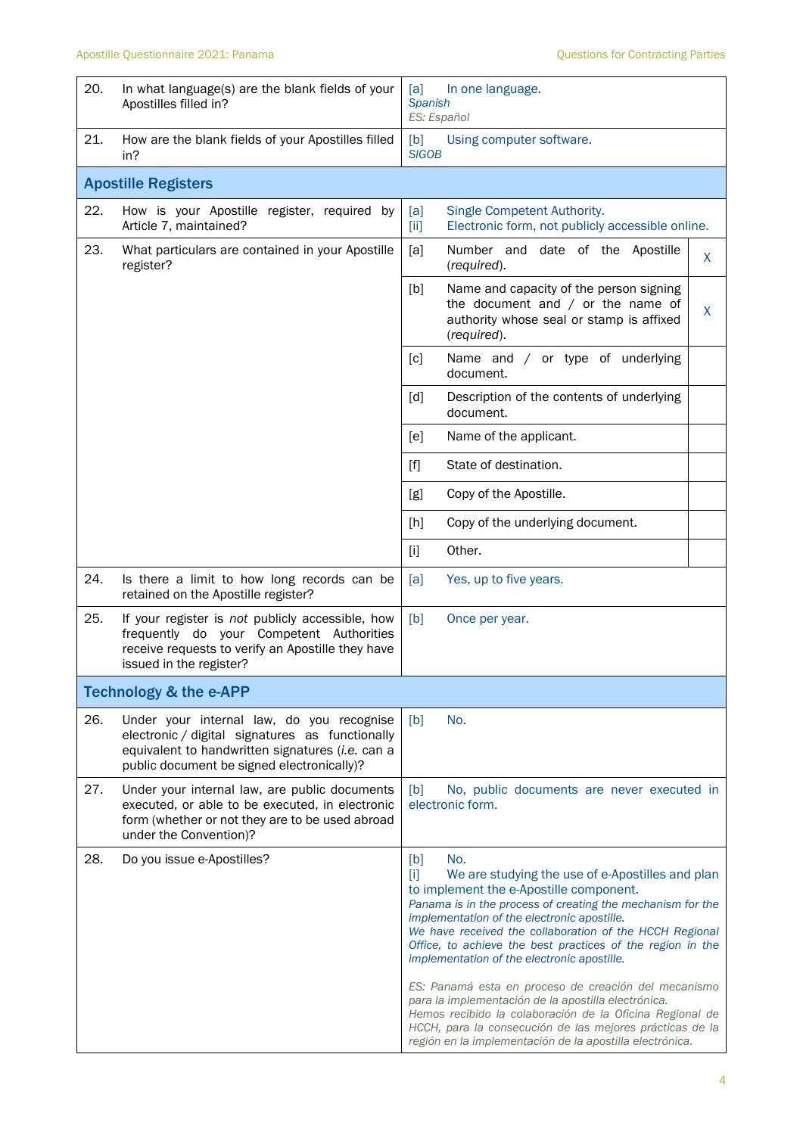## Apostille Questionnaire 2021: Panama <br>
Apostille Questions for Contracting Parties

| 20. | In what language(s) are the blank fields of your<br>Apostilles filled in?                                                                                                                      | In one language.<br>[a]<br><b>Spanish</b><br>ES: Español                                                                                                                                                                                                                                                                                                                                                                                                                                                                                                                                                                                                                                                   |  |  |
|-----|------------------------------------------------------------------------------------------------------------------------------------------------------------------------------------------------|------------------------------------------------------------------------------------------------------------------------------------------------------------------------------------------------------------------------------------------------------------------------------------------------------------------------------------------------------------------------------------------------------------------------------------------------------------------------------------------------------------------------------------------------------------------------------------------------------------------------------------------------------------------------------------------------------------|--|--|
| 21. | How are the blank fields of your Apostilles filled<br>in?                                                                                                                                      | [b]<br>Using computer software.<br><b>SIGOB</b>                                                                                                                                                                                                                                                                                                                                                                                                                                                                                                                                                                                                                                                            |  |  |
|     | <b>Apostille Registers</b>                                                                                                                                                                     |                                                                                                                                                                                                                                                                                                                                                                                                                                                                                                                                                                                                                                                                                                            |  |  |
| 22. | How is your Apostille register, required by<br>Article 7, maintained?                                                                                                                          | [a]<br>Single Competent Authority.<br>Electronic form, not publicly accessible online.<br>[iii]                                                                                                                                                                                                                                                                                                                                                                                                                                                                                                                                                                                                            |  |  |
| 23. | What particulars are contained in your Apostille<br>register?                                                                                                                                  | Number and date of the Apostille<br>[a]<br>X<br>(required).                                                                                                                                                                                                                                                                                                                                                                                                                                                                                                                                                                                                                                                |  |  |
|     |                                                                                                                                                                                                | [b]<br>Name and capacity of the person signing<br>the document and $/$ or the name of<br>$\mathsf{X}$<br>authority whose seal or stamp is affixed<br>(required).                                                                                                                                                                                                                                                                                                                                                                                                                                                                                                                                           |  |  |
|     |                                                                                                                                                                                                | Name and / or type of underlying<br>[c]<br>document.                                                                                                                                                                                                                                                                                                                                                                                                                                                                                                                                                                                                                                                       |  |  |
|     |                                                                                                                                                                                                | [d]<br>Description of the contents of underlying<br>document.                                                                                                                                                                                                                                                                                                                                                                                                                                                                                                                                                                                                                                              |  |  |
|     |                                                                                                                                                                                                | Name of the applicant.<br>[e]                                                                                                                                                                                                                                                                                                                                                                                                                                                                                                                                                                                                                                                                              |  |  |
|     |                                                                                                                                                                                                | State of destination.<br>$[f]$                                                                                                                                                                                                                                                                                                                                                                                                                                                                                                                                                                                                                                                                             |  |  |
|     |                                                                                                                                                                                                | Copy of the Apostille.<br>[g]                                                                                                                                                                                                                                                                                                                                                                                                                                                                                                                                                                                                                                                                              |  |  |
|     |                                                                                                                                                                                                | Copy of the underlying document.<br>[h]                                                                                                                                                                                                                                                                                                                                                                                                                                                                                                                                                                                                                                                                    |  |  |
|     |                                                                                                                                                                                                | Other.<br>$[1]$                                                                                                                                                                                                                                                                                                                                                                                                                                                                                                                                                                                                                                                                                            |  |  |
| 24. | Is there a limit to how long records can be<br>retained on the Apostille register?                                                                                                             | [a]<br>Yes, up to five years.                                                                                                                                                                                                                                                                                                                                                                                                                                                                                                                                                                                                                                                                              |  |  |
| 25. | If your register is not publicly accessible, how<br>frequently do your Competent Authorities<br>receive requests to verify an Apostille they have<br>issued in the register?                   | [b]<br>Once per year.                                                                                                                                                                                                                                                                                                                                                                                                                                                                                                                                                                                                                                                                                      |  |  |
|     | <b>Technology &amp; the e-APP</b>                                                                                                                                                              |                                                                                                                                                                                                                                                                                                                                                                                                                                                                                                                                                                                                                                                                                                            |  |  |
| 26. | Under your internal law, do you recognise<br>electronic / digital signatures as functionally<br>equivalent to handwritten signatures (i.e. can a<br>public document be signed electronically)? | No.<br>[b]                                                                                                                                                                                                                                                                                                                                                                                                                                                                                                                                                                                                                                                                                                 |  |  |
| 27. | Under your internal law, are public documents<br>executed, or able to be executed, in electronic<br>form (whether or not they are to be used abroad<br>under the Convention)?                  | No, public documents are never executed in<br>[b]<br>electronic form.                                                                                                                                                                                                                                                                                                                                                                                                                                                                                                                                                                                                                                      |  |  |
| 28. | Do you issue e-Apostilles?                                                                                                                                                                     | No.<br>[b]<br>$[1]$<br>We are studying the use of e-Apostilles and plan<br>to implement the e-Apostille component.<br>Panama is in the process of creating the mechanism for the<br>implementation of the electronic apostille.<br>We have received the collaboration of the HCCH Regional<br>Office, to achieve the best practices of the region in the<br>implementation of the electronic apostille.<br>ES: Panamá esta en proceso de creación del mecanismo<br>para la implementación de la apostilla electrónica.<br>Hemos recibido la colaboración de la Oficina Regional de<br>HCCH, para la consecución de las mejores prácticas de la<br>región en la implementación de la apostilla electrónica. |  |  |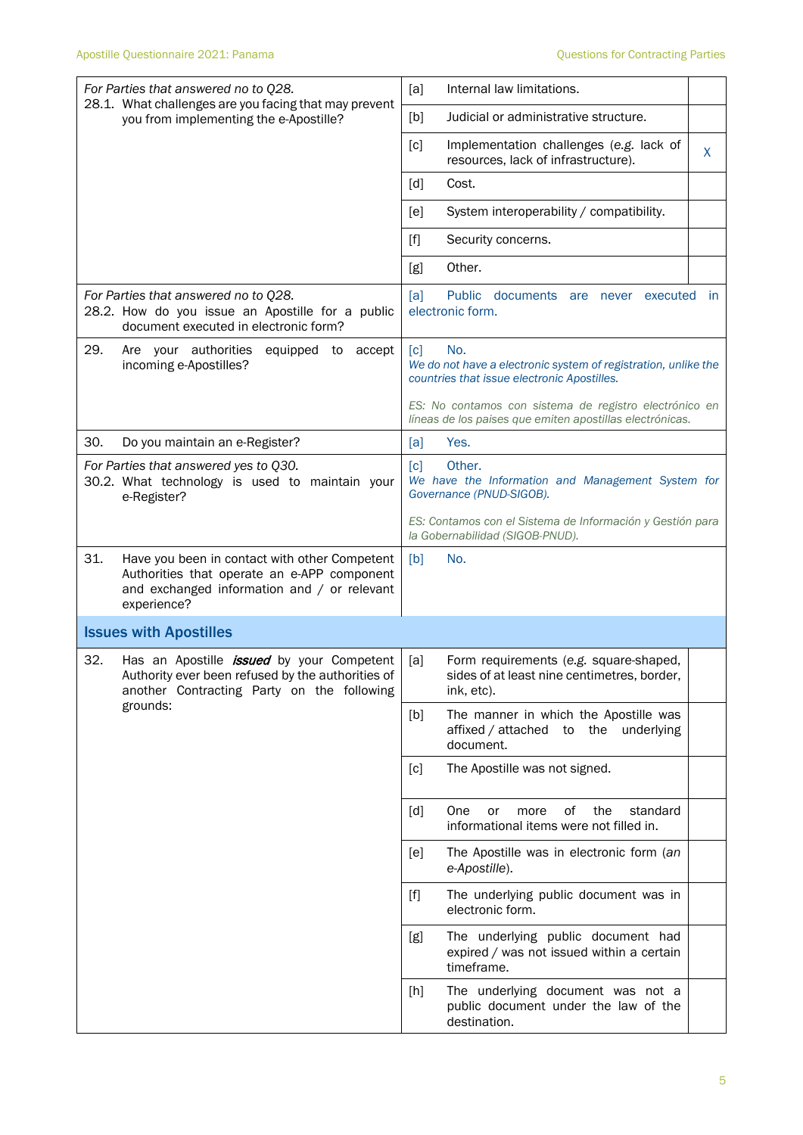| For Parties that answered no to Q28.                                                                                                                              | Internal law limitations.<br>[a]                                                                                                          |
|-------------------------------------------------------------------------------------------------------------------------------------------------------------------|-------------------------------------------------------------------------------------------------------------------------------------------|
| 28.1. What challenges are you facing that may prevent<br>you from implementing the e-Apostille?                                                                   | [b]<br>Judicial or administrative structure.                                                                                              |
|                                                                                                                                                                   | [c]<br>Implementation challenges (e.g. lack of<br>X<br>resources, lack of infrastructure).                                                |
|                                                                                                                                                                   | [d]<br>Cost.                                                                                                                              |
|                                                                                                                                                                   | System interoperability / compatibility.<br>[e]                                                                                           |
|                                                                                                                                                                   | $[f]$<br>Security concerns.                                                                                                               |
|                                                                                                                                                                   | Other.<br>[g]                                                                                                                             |
| For Parties that answered no to Q28.<br>28.2. How do you issue an Apostille for a public<br>document executed in electronic form?                                 | Public documents are never executed<br>[a]<br>- in<br>electronic form.                                                                    |
| 29.<br>Are your authorities<br>equipped to<br>accept<br>incoming e-Apostilles?                                                                                    | $\lceil c \rceil$<br>No.<br>We do not have a electronic system of registration, unlike the<br>countries that issue electronic Apostilles. |
|                                                                                                                                                                   | ES: No contamos con sistema de registro electrónico en<br>líneas de los paises que emiten apostillas electrónicas.                        |
| 30.<br>Do you maintain an e-Register?                                                                                                                             | Yes.<br>[a]                                                                                                                               |
| For Parties that answered yes to Q30.<br>30.2. What technology is used to maintain your<br>e-Register?                                                            | Other.<br>$\lceil c \rceil$<br>We have the Information and Management System for<br>Governance (PNUD-SIGOB).                              |
|                                                                                                                                                                   | ES: Contamos con el Sistema de Información y Gestión para<br>la Gobernabilidad (SIGOB-PNUD).                                              |
| 31.<br>Have you been in contact with other Competent<br>Authorities that operate an e-APP component<br>and exchanged information and / or relevant<br>experience? | No.<br>[b]                                                                                                                                |
| <b>Issues with Apostilles</b>                                                                                                                                     |                                                                                                                                           |
| 32.<br>Has an Apostille <i>issued</i> by your Competent<br>Authority ever been refused by the authorities of<br>another Contracting Party on the following        | [a]<br>Form requirements (e.g. square-shaped,<br>sides of at least nine centimetres, border,<br>ink, etc).                                |
| grounds:                                                                                                                                                          | [b]<br>The manner in which the Apostille was<br>affixed / attached to the underlying<br>document.                                         |
|                                                                                                                                                                   | The Apostille was not signed.<br>[c]                                                                                                      |
|                                                                                                                                                                   | of<br>the<br>[d]<br>One<br>standard<br>or<br>more<br>informational items were not filled in.                                              |
|                                                                                                                                                                   | The Apostille was in electronic form (an<br>[e]<br>e-Apostille).                                                                          |
|                                                                                                                                                                   | The underlying public document was in<br>$[1]$<br>electronic form.                                                                        |
|                                                                                                                                                                   | The underlying public document had<br>[g]<br>expired / was not issued within a certain<br>timeframe.                                      |
|                                                                                                                                                                   | The underlying document was not a<br>[h]<br>public document under the law of the<br>destination.                                          |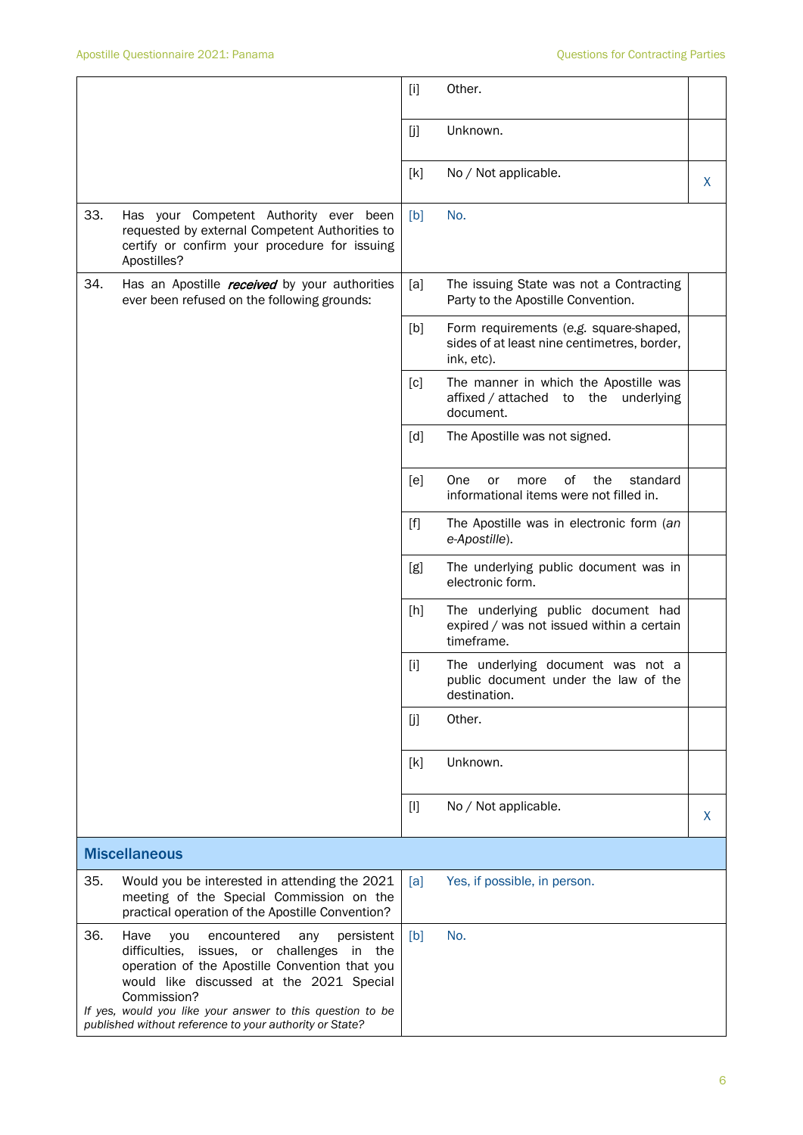|     |                                                                                                                                                                                                                                                                                                                                          | $[1]$             | Other.                                                                                              |   |
|-----|------------------------------------------------------------------------------------------------------------------------------------------------------------------------------------------------------------------------------------------------------------------------------------------------------------------------------------------|-------------------|-----------------------------------------------------------------------------------------------------|---|
|     |                                                                                                                                                                                                                                                                                                                                          | [j]               | Unknown.                                                                                            |   |
|     |                                                                                                                                                                                                                                                                                                                                          | [k]               | No / Not applicable.                                                                                | X |
| 33. | Has your Competent Authority ever been<br>requested by external Competent Authorities to<br>certify or confirm your procedure for issuing<br>Apostilles?                                                                                                                                                                                 | [b]               | No.                                                                                                 |   |
| 34. | Has an Apostille received by your authorities<br>ever been refused on the following grounds:                                                                                                                                                                                                                                             | [a]               | The issuing State was not a Contracting<br>Party to the Apostille Convention.                       |   |
|     |                                                                                                                                                                                                                                                                                                                                          | [b]               | Form requirements (e.g. square-shaped,<br>sides of at least nine centimetres, border,<br>ink, etc). |   |
|     |                                                                                                                                                                                                                                                                                                                                          | [c]               | The manner in which the Apostille was<br>affixed / attached to<br>the<br>underlying<br>document.    |   |
|     |                                                                                                                                                                                                                                                                                                                                          | $\lceil d \rceil$ | The Apostille was not signed.                                                                       |   |
|     |                                                                                                                                                                                                                                                                                                                                          | [e]               | of<br>the<br>standard<br>One<br>or<br>more<br>informational items were not filled in.               |   |
|     |                                                                                                                                                                                                                                                                                                                                          | $[f]$             | The Apostille was in electronic form (an<br>e-Apostille).                                           |   |
|     |                                                                                                                                                                                                                                                                                                                                          | [g]               | The underlying public document was in<br>electronic form.                                           |   |
|     |                                                                                                                                                                                                                                                                                                                                          | [h]               | The underlying public document had<br>expired / was not issued within a certain<br>timeframe.       |   |
|     |                                                                                                                                                                                                                                                                                                                                          | $[1]$             | The underlying document was not a<br>public document under the law of the<br>destination.           |   |
|     |                                                                                                                                                                                                                                                                                                                                          | [j]               | Other.                                                                                              |   |
|     |                                                                                                                                                                                                                                                                                                                                          | [k]               | Unknown.                                                                                            |   |
|     |                                                                                                                                                                                                                                                                                                                                          | $[]$              | No / Not applicable.                                                                                | X |
|     | <b>Miscellaneous</b>                                                                                                                                                                                                                                                                                                                     |                   |                                                                                                     |   |
| 35. | Would you be interested in attending the 2021<br>meeting of the Special Commission on the<br>practical operation of the Apostille Convention?                                                                                                                                                                                            | [a]               | Yes, if possible, in person.                                                                        |   |
| 36. | Have<br>you<br>encountered<br>persistent<br>any<br>difficulties,<br>issues, or challenges<br>in the<br>operation of the Apostille Convention that you<br>would like discussed at the 2021 Special<br>Commission?<br>If yes, would you like your answer to this question to be<br>published without reference to your authority or State? | [b]               | No.                                                                                                 |   |